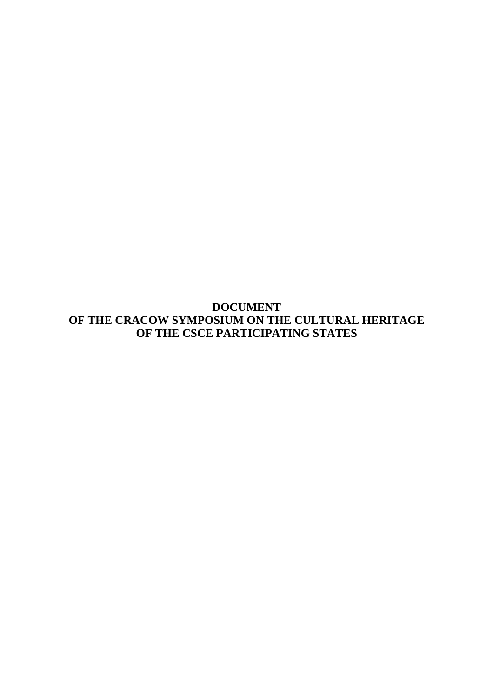**DOCUMENT OF THE CRACOW SYMPOSIUM ON THE CULTURAL HERITAGE OF THE CSCE PARTICIPATING STATES**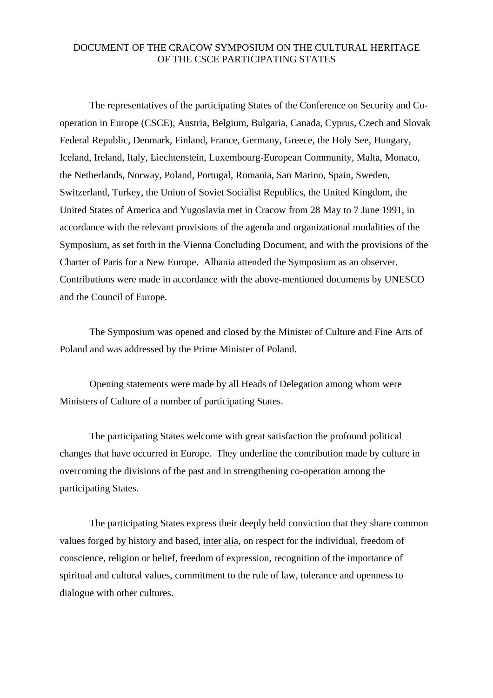## DOCUMENT OF THE CRACOW SYMPOSIUM ON THE CULTURAL HERITAGE OF THE CSCE PARTICIPATING STATES

 The representatives of the participating States of the Conference on Security and Cooperation in Europe (CSCE), Austria, Belgium, Bulgaria, Canada, Cyprus, Czech and Slovak Federal Republic, Denmark, Finland, France, Germany, Greece, the Holy See, Hungary, Iceland, Ireland, Italy, Liechtenstein, Luxembourg-European Community, Malta, Monaco, the Netherlands, Norway, Poland, Portugal, Romania, San Marino, Spain, Sweden, Switzerland, Turkey, the Union of Soviet Socialist Republics, the United Kingdom, the United States of America and Yugoslavia met in Cracow from 28 May to 7 June 1991, in accordance with the relevant provisions of the agenda and organizational modalities of the Symposium, as set forth in the Vienna Concluding Document, and with the provisions of the Charter of Paris for a New Europe. Albania attended the Symposium as an observer. Contributions were made in accordance with the above-mentioned documents by UNESCO and the Council of Europe.

 The Symposium was opened and closed by the Minister of Culture and Fine Arts of Poland and was addressed by the Prime Minister of Poland.

 Opening statements were made by all Heads of Delegation among whom were Ministers of Culture of a number of participating States.

 The participating States welcome with great satisfaction the profound political changes that have occurred in Europe. They underline the contribution made by culture in overcoming the divisions of the past and in strengthening co-operation among the participating States.

 The participating States express their deeply held conviction that they share common values forged by history and based, inter alia, on respect for the individual, freedom of conscience, religion or belief, freedom of expression, recognition of the importance of spiritual and cultural values, commitment to the rule of law, tolerance and openness to dialogue with other cultures.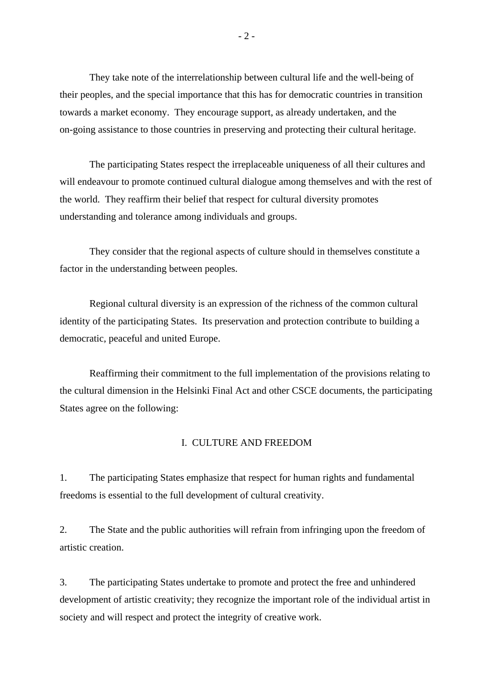They take note of the interrelationship between cultural life and the well-being of their peoples, and the special importance that this has for democratic countries in transition towards a market economy. They encourage support, as already undertaken, and the on-going assistance to those countries in preserving and protecting their cultural heritage.

 The participating States respect the irreplaceable uniqueness of all their cultures and will endeavour to promote continued cultural dialogue among themselves and with the rest of the world. They reaffirm their belief that respect for cultural diversity promotes understanding and tolerance among individuals and groups.

 They consider that the regional aspects of culture should in themselves constitute a factor in the understanding between peoples.

 Regional cultural diversity is an expression of the richness of the common cultural identity of the participating States. Its preservation and protection contribute to building a democratic, peaceful and united Europe.

 Reaffirming their commitment to the full implementation of the provisions relating to the cultural dimension in the Helsinki Final Act and other CSCE documents, the participating States agree on the following:

## I. CULTURE AND FREEDOM

1. The participating States emphasize that respect for human rights and fundamental freedoms is essential to the full development of cultural creativity.

2. The State and the public authorities will refrain from infringing upon the freedom of artistic creation.

3. The participating States undertake to promote and protect the free and unhindered development of artistic creativity; they recognize the important role of the individual artist in society and will respect and protect the integrity of creative work.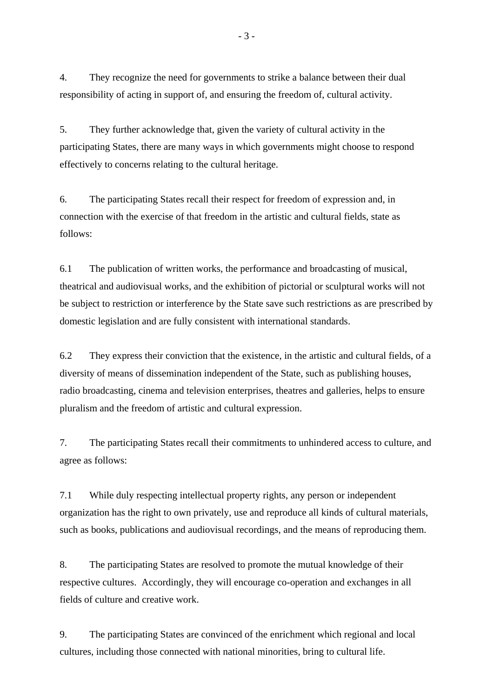4. They recognize the need for governments to strike a balance between their dual responsibility of acting in support of, and ensuring the freedom of, cultural activity.

5. They further acknowledge that, given the variety of cultural activity in the participating States, there are many ways in which governments might choose to respond effectively to concerns relating to the cultural heritage.

6. The participating States recall their respect for freedom of expression and, in connection with the exercise of that freedom in the artistic and cultural fields, state as follows:

6.1 The publication of written works, the performance and broadcasting of musical, theatrical and audiovisual works, and the exhibition of pictorial or sculptural works will not be subject to restriction or interference by the State save such restrictions as are prescribed by domestic legislation and are fully consistent with international standards.

6.2 They express their conviction that the existence, in the artistic and cultural fields, of a diversity of means of dissemination independent of the State, such as publishing houses, radio broadcasting, cinema and television enterprises, theatres and galleries, helps to ensure pluralism and the freedom of artistic and cultural expression.

7. The participating States recall their commitments to unhindered access to culture, and agree as follows:

7.1 While duly respecting intellectual property rights, any person or independent organization has the right to own privately, use and reproduce all kinds of cultural materials, such as books, publications and audiovisual recordings, and the means of reproducing them.

8. The participating States are resolved to promote the mutual knowledge of their respective cultures. Accordingly, they will encourage co-operation and exchanges in all fields of culture and creative work.

9. The participating States are convinced of the enrichment which regional and local cultures, including those connected with national minorities, bring to cultural life.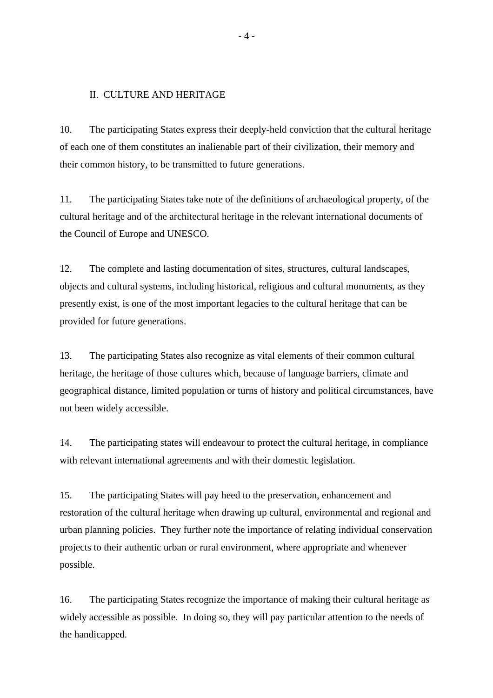## II. CULTURE AND HERITAGE

10. The participating States express their deeply-held conviction that the cultural heritage of each one of them constitutes an inalienable part of their civilization, their memory and their common history, to be transmitted to future generations.

11. The participating States take note of the definitions of archaeological property, of the cultural heritage and of the architectural heritage in the relevant international documents of the Council of Europe and UNESCO.

12. The complete and lasting documentation of sites, structures, cultural landscapes, objects and cultural systems, including historical, religious and cultural monuments, as they presently exist, is one of the most important legacies to the cultural heritage that can be provided for future generations.

13. The participating States also recognize as vital elements of their common cultural heritage, the heritage of those cultures which, because of language barriers, climate and geographical distance, limited population or turns of history and political circumstances, have not been widely accessible.

14. The participating states will endeavour to protect the cultural heritage, in compliance with relevant international agreements and with their domestic legislation.

15. The participating States will pay heed to the preservation, enhancement and restoration of the cultural heritage when drawing up cultural, environmental and regional and urban planning policies. They further note the importance of relating individual conservation projects to their authentic urban or rural environment, where appropriate and whenever possible.

16. The participating States recognize the importance of making their cultural heritage as widely accessible as possible. In doing so, they will pay particular attention to the needs of the handicapped.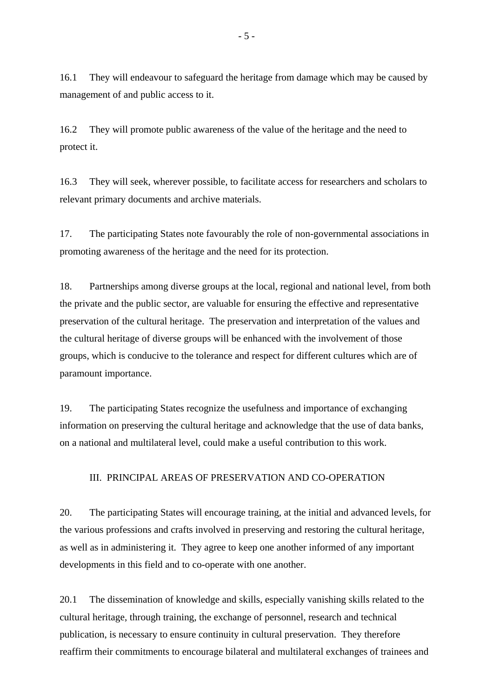16.1 They will endeavour to safeguard the heritage from damage which may be caused by management of and public access to it.

16.2 They will promote public awareness of the value of the heritage and the need to protect it.

16.3 They will seek, wherever possible, to facilitate access for researchers and scholars to relevant primary documents and archive materials.

17. The participating States note favourably the role of non-governmental associations in promoting awareness of the heritage and the need for its protection.

18. Partnerships among diverse groups at the local, regional and national level, from both the private and the public sector, are valuable for ensuring the effective and representative preservation of the cultural heritage. The preservation and interpretation of the values and the cultural heritage of diverse groups will be enhanced with the involvement of those groups, which is conducive to the tolerance and respect for different cultures which are of paramount importance.

19. The participating States recognize the usefulness and importance of exchanging information on preserving the cultural heritage and acknowledge that the use of data banks, on a national and multilateral level, could make a useful contribution to this work.

III. PRINCIPAL AREAS OF PRESERVATION AND CO-OPERATION

20. The participating States will encourage training, at the initial and advanced levels, for the various professions and crafts involved in preserving and restoring the cultural heritage, as well as in administering it. They agree to keep one another informed of any important developments in this field and to co-operate with one another.

20.1 The dissemination of knowledge and skills, especially vanishing skills related to the cultural heritage, through training, the exchange of personnel, research and technical publication, is necessary to ensure continuity in cultural preservation. They therefore reaffirm their commitments to encourage bilateral and multilateral exchanges of trainees and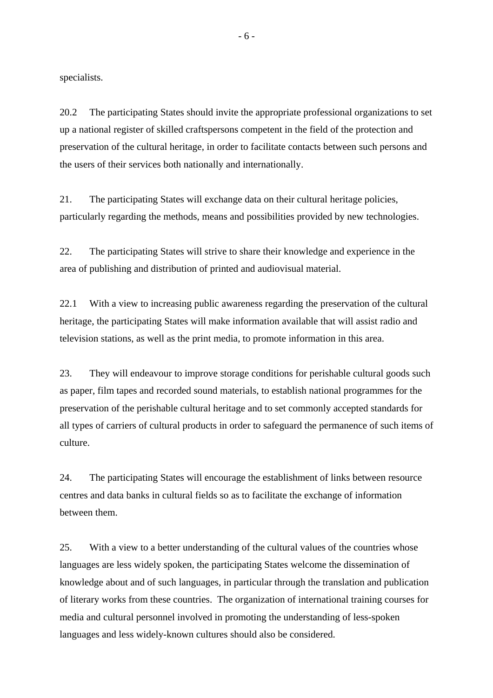specialists.

20.2 The participating States should invite the appropriate professional organizations to set up a national register of skilled craftspersons competent in the field of the protection and preservation of the cultural heritage, in order to facilitate contacts between such persons and the users of their services both nationally and internationally.

21. The participating States will exchange data on their cultural heritage policies, particularly regarding the methods, means and possibilities provided by new technologies.

22. The participating States will strive to share their knowledge and experience in the area of publishing and distribution of printed and audiovisual material.

22.1 With a view to increasing public awareness regarding the preservation of the cultural heritage, the participating States will make information available that will assist radio and television stations, as well as the print media, to promote information in this area.

23. They will endeavour to improve storage conditions for perishable cultural goods such as paper, film tapes and recorded sound materials, to establish national programmes for the preservation of the perishable cultural heritage and to set commonly accepted standards for all types of carriers of cultural products in order to safeguard the permanence of such items of culture.

24. The participating States will encourage the establishment of links between resource centres and data banks in cultural fields so as to facilitate the exchange of information between them.

25. With a view to a better understanding of the cultural values of the countries whose languages are less widely spoken, the participating States welcome the dissemination of knowledge about and of such languages, in particular through the translation and publication of literary works from these countries. The organization of international training courses for media and cultural personnel involved in promoting the understanding of less-spoken languages and less widely-known cultures should also be considered.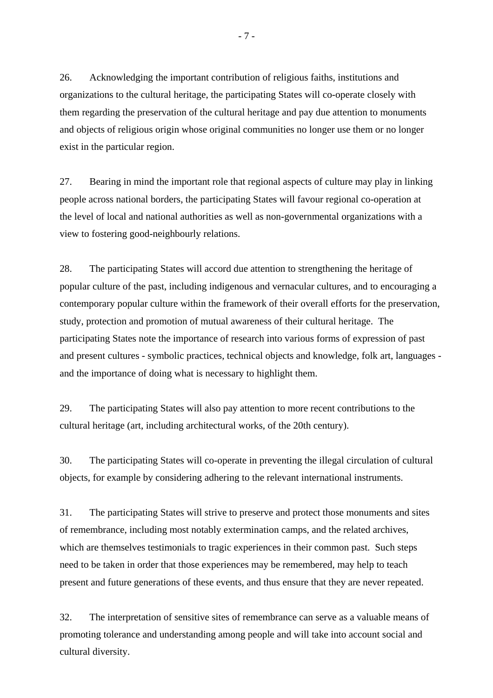26. Acknowledging the important contribution of religious faiths, institutions and organizations to the cultural heritage, the participating States will co-operate closely with them regarding the preservation of the cultural heritage and pay due attention to monuments and objects of religious origin whose original communities no longer use them or no longer exist in the particular region.

27. Bearing in mind the important role that regional aspects of culture may play in linking people across national borders, the participating States will favour regional co-operation at the level of local and national authorities as well as non-governmental organizations with a view to fostering good-neighbourly relations.

28. The participating States will accord due attention to strengthening the heritage of popular culture of the past, including indigenous and vernacular cultures, and to encouraging a contemporary popular culture within the framework of their overall efforts for the preservation, study, protection and promotion of mutual awareness of their cultural heritage. The participating States note the importance of research into various forms of expression of past and present cultures - symbolic practices, technical objects and knowledge, folk art, languages and the importance of doing what is necessary to highlight them.

29. The participating States will also pay attention to more recent contributions to the cultural heritage (art, including architectural works, of the 20th century).

30. The participating States will co-operate in preventing the illegal circulation of cultural objects, for example by considering adhering to the relevant international instruments.

31. The participating States will strive to preserve and protect those monuments and sites of remembrance, including most notably extermination camps, and the related archives, which are themselves testimonials to tragic experiences in their common past. Such steps need to be taken in order that those experiences may be remembered, may help to teach present and future generations of these events, and thus ensure that they are never repeated.

32. The interpretation of sensitive sites of remembrance can serve as a valuable means of promoting tolerance and understanding among people and will take into account social and cultural diversity.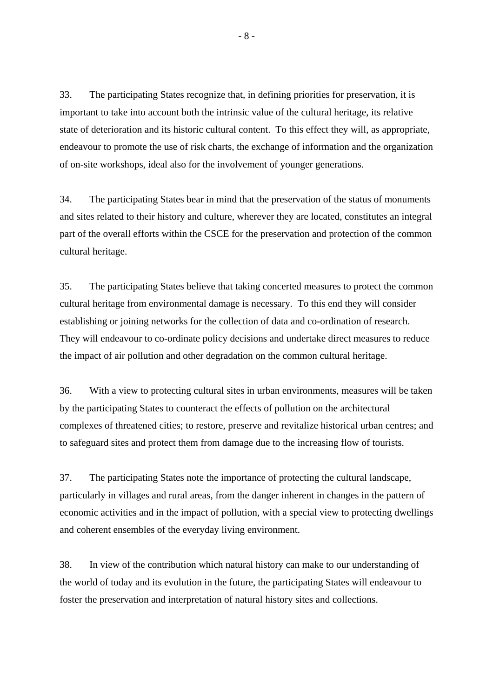33. The participating States recognize that, in defining priorities for preservation, it is important to take into account both the intrinsic value of the cultural heritage, its relative state of deterioration and its historic cultural content. To this effect they will, as appropriate, endeavour to promote the use of risk charts, the exchange of information and the organization of on-site workshops, ideal also for the involvement of younger generations.

34. The participating States bear in mind that the preservation of the status of monuments and sites related to their history and culture, wherever they are located, constitutes an integral part of the overall efforts within the CSCE for the preservation and protection of the common cultural heritage.

35. The participating States believe that taking concerted measures to protect the common cultural heritage from environmental damage is necessary. To this end they will consider establishing or joining networks for the collection of data and co-ordination of research. They will endeavour to co-ordinate policy decisions and undertake direct measures to reduce the impact of air pollution and other degradation on the common cultural heritage.

36. With a view to protecting cultural sites in urban environments, measures will be taken by the participating States to counteract the effects of pollution on the architectural complexes of threatened cities; to restore, preserve and revitalize historical urban centres; and to safeguard sites and protect them from damage due to the increasing flow of tourists.

37. The participating States note the importance of protecting the cultural landscape, particularly in villages and rural areas, from the danger inherent in changes in the pattern of economic activities and in the impact of pollution, with a special view to protecting dwellings and coherent ensembles of the everyday living environment.

38. In view of the contribution which natural history can make to our understanding of the world of today and its evolution in the future, the participating States will endeavour to foster the preservation and interpretation of natural history sites and collections.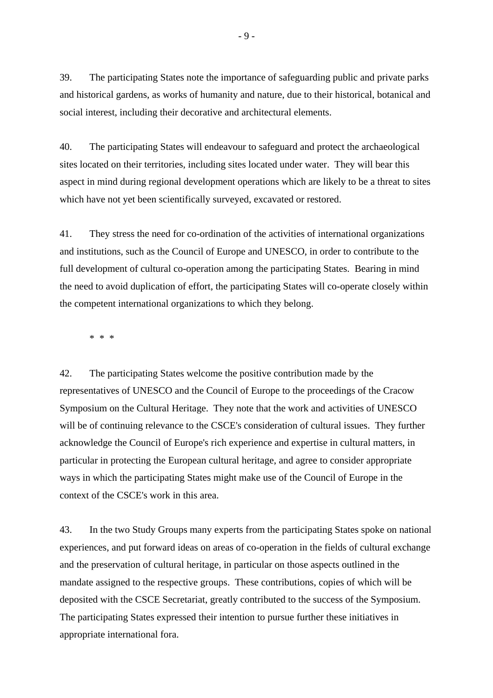39. The participating States note the importance of safeguarding public and private parks and historical gardens, as works of humanity and nature, due to their historical, botanical and social interest, including their decorative and architectural elements.

40. The participating States will endeavour to safeguard and protect the archaeological sites located on their territories, including sites located under water. They will bear this aspect in mind during regional development operations which are likely to be a threat to sites which have not yet been scientifically surveyed, excavated or restored.

41. They stress the need for co-ordination of the activities of international organizations and institutions, such as the Council of Europe and UNESCO, in order to contribute to the full development of cultural co-operation among the participating States. Bearing in mind the need to avoid duplication of effort, the participating States will co-operate closely within the competent international organizations to which they belong.

\* \* \*

42. The participating States welcome the positive contribution made by the representatives of UNESCO and the Council of Europe to the proceedings of the Cracow Symposium on the Cultural Heritage. They note that the work and activities of UNESCO will be of continuing relevance to the CSCE's consideration of cultural issues. They further acknowledge the Council of Europe's rich experience and expertise in cultural matters, in particular in protecting the European cultural heritage, and agree to consider appropriate ways in which the participating States might make use of the Council of Europe in the context of the CSCE's work in this area.

43. In the two Study Groups many experts from the participating States spoke on national experiences, and put forward ideas on areas of co-operation in the fields of cultural exchange and the preservation of cultural heritage, in particular on those aspects outlined in the mandate assigned to the respective groups. These contributions, copies of which will be deposited with the CSCE Secretariat, greatly contributed to the success of the Symposium. The participating States expressed their intention to pursue further these initiatives in appropriate international fora.